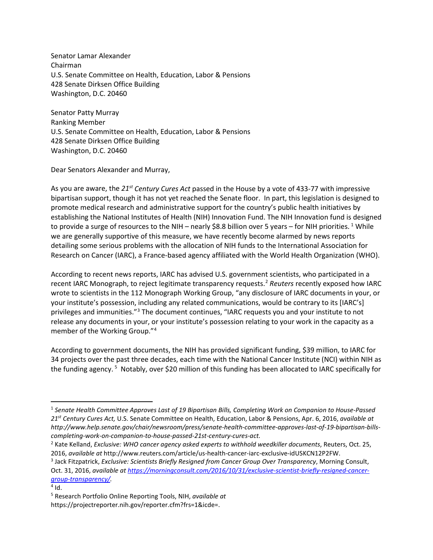Senator Lamar Alexander Chairman U.S. Senate Committee on Health, Education, Labor & Pensions 428 Senate Dirksen Office Building Washington, D.C. 20460

Senator Patty Murray Ranking Member U.S. Senate Committee on Health, Education, Labor & Pensions 428 Senate Dirksen Office Building Washington, D.C. 20460

Dear Senators Alexander and Murray,

As you are aware, the *21st Century Cures Act* passed in the House by a vote of 433-77 with impressive bipartisan support, though it has not yet reached the Senate floor. In part, this legislation is designed to promote medical research and administrative support for the country's public health initiatives by establishing the National Institutes of Health (NIH) Innovation Fund. The NIH Innovation fund is designed to provide a surge of resources to the NIH – nearly \$8.8 billion over 5 years – for NIH priorities. <sup>[1](#page-0-0)</sup> While we are generally supportive of this measure, we have recently become alarmed by news reports detailing some serious problems with the allocation of NIH funds to the International Association for Research on Cancer (IARC), a France-based agency affiliated with the World Health Organization (WHO).

According to recent news reports, IARC has advised U.S. government scientists, who participated in a recent IARC Monograph, to reject legitimate transparency requests[.2](#page-0-1) *Reuters* recently exposed how IARC wrote to scientists in the 112 Monograph Working Group, "any disclosure of IARC documents in your, or your institute's possession, including any related communications, would be contrary to its [IARC's] privileges and immunities."[3](#page-0-2) The document continues, "IARC requests you and your institute to not release any documents in your, or your institute's possession relating to your work in the capacity as a member of the Working Group."[4](#page-0-3)

According to government documents, the NIH has provided significant funding, \$39 million, to IARC for 34 projects over the past three decades, each time with the National Cancer Institute (NCI) within NIH as the funding agency.<sup>[5](#page-0-4)</sup> Notably, over \$20 million of this funding has been allocated to IARC specifically for

<span id="page-0-0"></span><sup>1</sup> *Senate Health Committee Approves Last of 19 Bipartisan Bills, Completing Work on Companion to House-Passed 21st Century Cures Act,* U.S. Senate Committee on Health, Education, Labor & Pensions, Apr. 6, 2016, *available at http://www.help.senate.gov/chair/newsroom/press/senate-health-committee-approves-last-of-19-bipartisan-billscompleting-work-on-companion-to-house-passed-21st-century-cures-act.*

<span id="page-0-1"></span><sup>2</sup> Kate Kelland, *Exclusive: WHO cancer agency asked experts to withhold weedkiller documents*, Reuters, Oct. 25, 2016, *available at* http://www.reuters.com/article/us-health-cancer-iarc-exclusive-idUSKCN12P2FW. 3 Jack Fitzpatrick, *Exclusive: Scientists Briefly Resigned from Cancer Group Over Transparency*, Morning Consult,

<span id="page-0-2"></span>Oct. 31, 2016, *available a[t https://morningconsult.com/2016/10/31/exclusive-scientist-briefly-resigned-cancer](https://morningconsult.com/2016/10/31/exclusive-scientist-briefly-resigned-cancer-group-transparency/)[group-transparency/.](https://morningconsult.com/2016/10/31/exclusive-scientist-briefly-resigned-cancer-group-transparency/)* 

<span id="page-0-3"></span> $4$  Id.

<span id="page-0-4"></span><sup>5</sup> Research Portfolio Online Reporting Tools, NIH, *available at* https://projectreporter.nih.gov/reporter.cfm?frs=1&icde=.